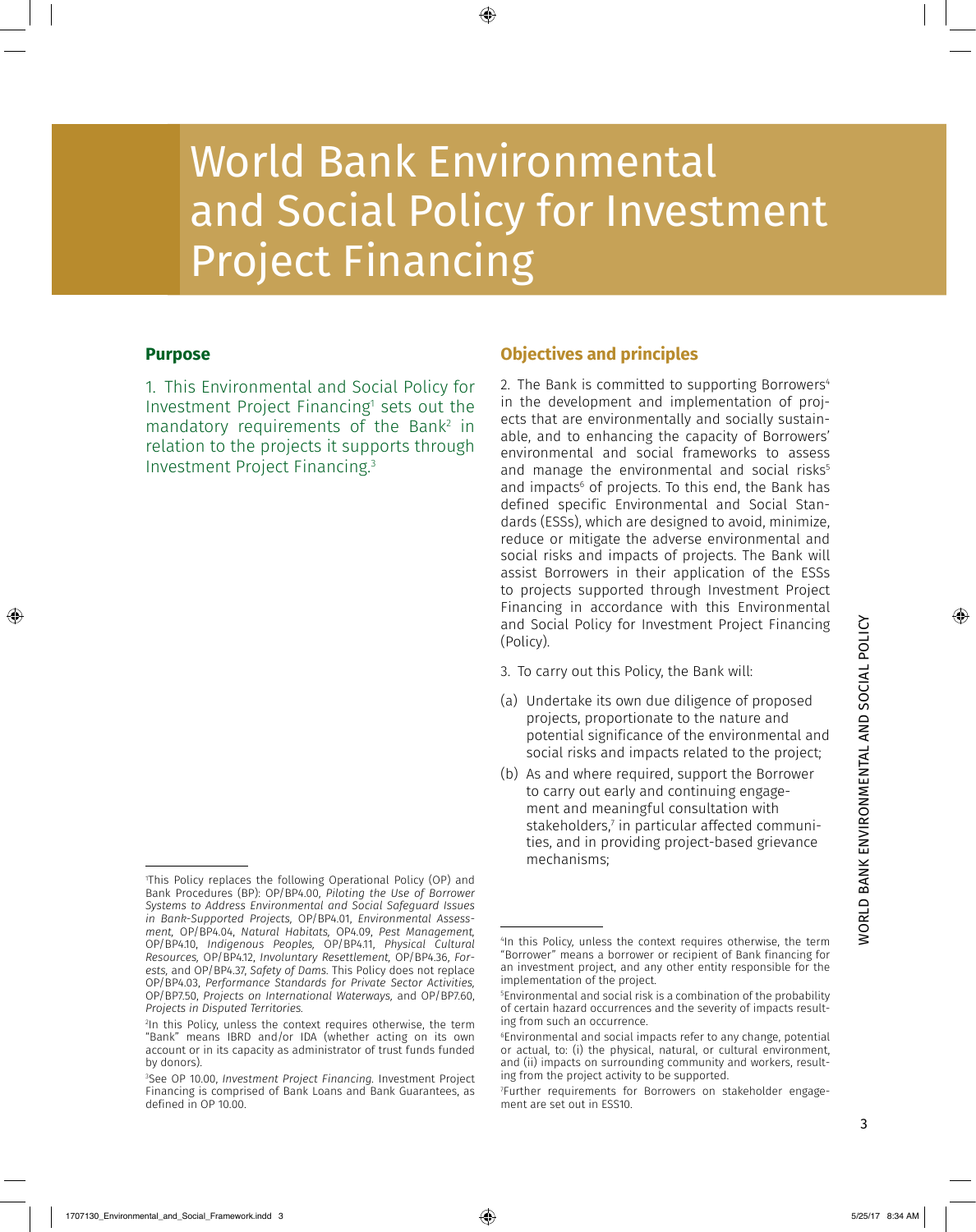# World Bank Environmental and Social Policy for Investment Project Financing

# **Purpose**

1. This Environmental and Social Policy for Investment Project Financing<sup>1</sup> sets out the mandatory requirements of the Bank<sup>2</sup> in relation to the projects it supports through Investment Project Financing. 3

# **Objectives and principles**

2. The Bank is committed to supporting Borrowers<sup>4</sup> in the development and implementation of projects that are environmentally and socially sustainable, and to enhancing the capacity of Borrowers' environmental and social frameworks to assess and manage the environmental and social risks<sup>5</sup> and impacts $^{\rm 6}$  of projects. To this end, the Bank has defined specific Environmental and Social Standards (ESSs), which are designed to avoid, minimize, reduce or mitigate the adverse environmental and social risks and impacts of projects. The Bank will assist Borrowers in their application of the ESSs to projects supported through Investment Project Financing in accordance with this Environmental and Social Policy for Investment Project Financing (Policy).

- 3. To carry out this Policy, the Bank will:
- (a) Undertake its own due diligence of proposed projects, proportionate to the nature and potential significance of the environmental and social risks and impacts related to the project;
- (b) As and where required, support the Borrower to carry out early and continuing engagement and meaningful consultation with stakeholders,7 in particular affected communities, and in providing project-based grievance mechanisms;

<sup>1</sup> This Policy replaces the following Operational Policy (OP) and Bank Procedures (BP): OP/BP4.00, *Piloting the Use of Borrower Systems to Address Environmental and Social Safeguard Issues in Bank-Supported Projects,* OP/BP4.01, *Environmental Assessment,* OP/BP4.04, *Natural Habitats,* OP4.09, *Pest Management,* OP/BP4.10, *Indigenous Peoples,* OP/BP4.11, *Physical Cultural Resources,* OP/BP4.12, *Involuntary Resettlement,* OP/BP4.36, *Forests,* and OP/BP4.37, *Safety of Dams.* This Policy does not replace OP/BP4.03, *Performance Standards for Private Sector Activities,* OP/BP7.50, *Projects on International Waterways,* and OP/BP7.60, *Projects in Disputed Territories.*

<sup>2</sup> In this Policy, unless the context requires otherwise, the term "Bank" means IBRD and/or IDA (whether acting on its own account or in its capacity as administrator of trust funds funded by donors).

<sup>3</sup> See OP 10.00, *Investment Project Financing.* Investment Project Financing is comprised of Bank Loans and Bank Guarantees, as defined in OP 10.00.

<sup>4</sup> In this Policy, unless the context requires otherwise, the term "Borrower" means a borrower or recipient of Bank financing for an investment project, and any other entity responsible for the implementation of the project.

<sup>5</sup> Environmental and social risk is a combination of the probability of certain hazard occurrences and the severity of impacts resulting from such an occurrence.

<sup>6</sup> Environmental and social impacts refer to any change, potential or actual, to: (i) the physical, natural, or cultural environment, and (ii) impacts on surrounding community and workers, resulting from the project activity to be supported.

<sup>7</sup> Further requirements for Borrowers on stakeholder engagement are set out in ESS10.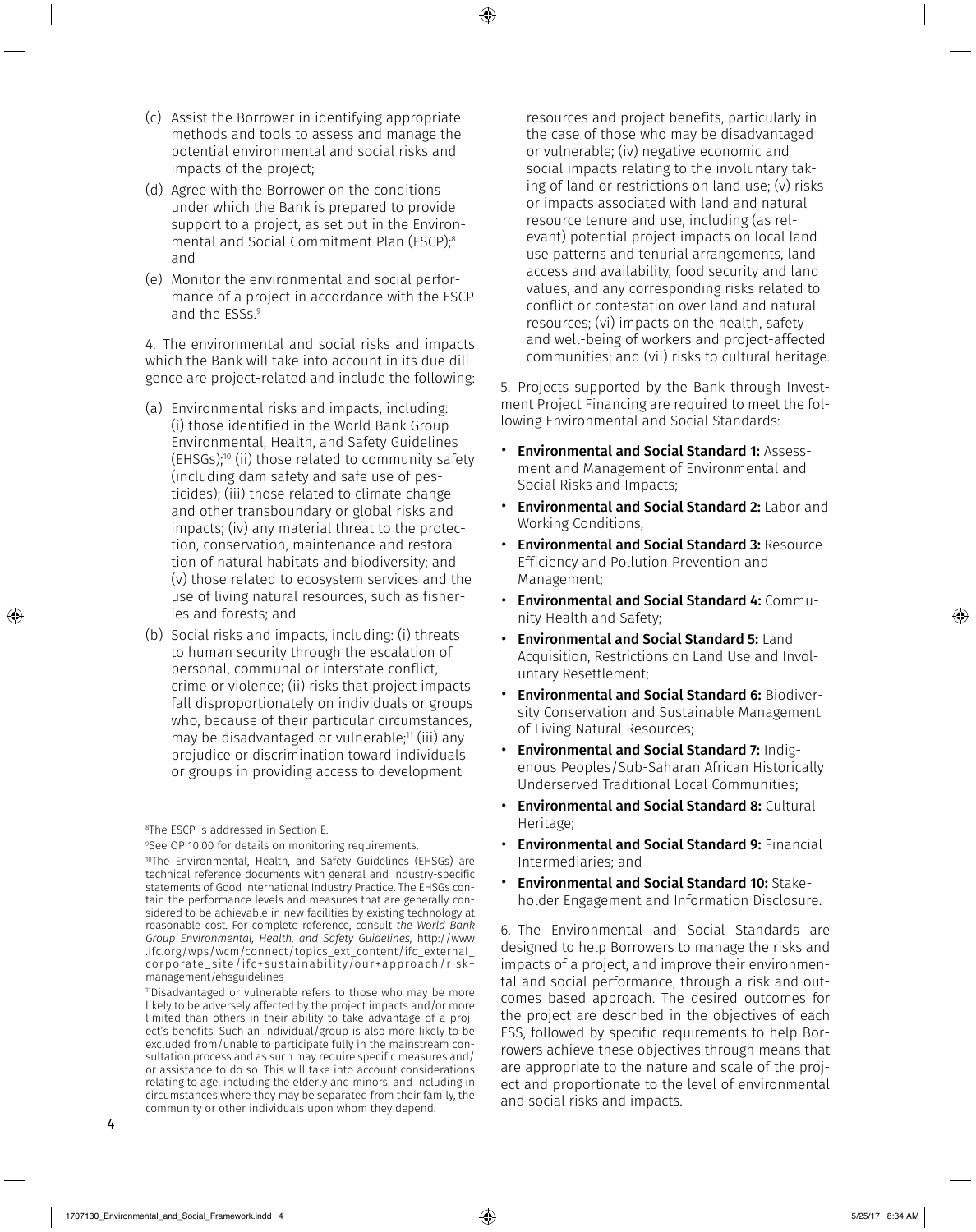- (c) Assist the Borrower in identifying appropriate methods and tools to assess and manage the potential environmental and social risks and impacts of the project;
- (d) Agree with the Borrower on the conditions under which the Bank is prepared to provide support to a project, as set out in the Environmental and Social Commitment Plan (ESCP);8 and
- (e) Monitor the environmental and social performance of a project in accordance with the ESCP and the ESSs. 9

4. The environmental and social risks and impacts which the Bank will take into account in its due diligence are project-related and include the following:

- (a) Environmental risks and impacts, including: (i) those identified in the World Bank Group Environmental, Health, and Safety Guidelines (EHSGs);10 (ii) those related to community safety (including dam safety and safe use of pesticides); (iii) those related to climate change and other transboundary or global risks and impacts; (iv) any material threat to the protection, conservation, maintenance and restoration of natural habitats and biodiversity; and (v) those related to ecosystem services and the use of living natural resources, such as fisheries and forests; and
- (b) Social risks and impacts, including: (i) threats to human security through the escalation of personal, communal or interstate conflict, crime or violence; (ii) risks that project impacts fall disproportionately on individuals or groups who, because of their particular circumstances, may be disadvantaged or vulnerable;<sup>11</sup> (iii) any prejudice or discrimination toward individuals or groups in providing access to development

resources and project benefits, particularly in the case of those who may be disadvantaged or vulnerable; (iv) negative economic and social impacts relating to the involuntary taking of land or restrictions on land use; (v) risks or impacts associated with land and natural resource tenure and use, including (as relevant) potential project impacts on local land use patterns and tenurial arrangements, land access and availability, food security and land values, and any corresponding risks related to conflict or contestation over land and natural resources; (vi) impacts on the health, safety and well-being of workers and project-affected communities; and (vii) risks to cultural heritage.

5. Projects supported by the Bank through Investment Project Financing are required to meet the following Environmental and Social Standards:

- Environmental and Social Standard 1: Assessment and Management of Environmental and Social Risks and Impacts;
- Environmental and Social Standard 2: Labor and Working Conditions;
- Environmental and Social Standard 3: Resource Efficiency and Pollution Prevention and Management;
- Environmental and Social Standard 4: Community Health and Safety;
- **Environmental and Social Standard 5: Land** Acquisition, Restrictions on Land Use and Involuntary Resettlement;
- Environmental and Social Standard 6: Biodiversity Conservation and Sustainable Management of Living Natural Resources;
- Environmental and Social Standard 7: Indigenous Peoples/Sub-Saharan African Historically Underserved Traditional Local Communities;
- Environmental and Social Standard 8: Cultural Heritage;
- Environmental and Social Standard 9: Financial Intermediaries; and
- Environmental and Social Standard 10: Stakeholder Engagement and Information Disclosure.

6. The Environmental and Social Standards are designed to help Borrowers to manage the risks and impacts of a project, and improve their environmental and social performance, through a risk and outcomes based approach. The desired outcomes for the project are described in the objectives of each ESS, followed by specific requirements to help Borrowers achieve these objectives through means that are appropriate to the nature and scale of the project and proportionate to the level of environmental and social risks and impacts.

<sup>8</sup> The ESCP is addressed in Section E.

<sup>9</sup> See OP 10.00 for details on monitoring requirements. 10The Environmental, Health, and Safety Guidelines (EHSGs) are technical reference documents with general and industry-specific statements of Good International Industry Practice. The EHSGs contain the performance levels and measures that are generally considered to be achievable in new facilities by existing technology at reasonable cost. For complete reference, consult *the World Bank Group Environmental, Health, and Safety Guidelines,* [http://www](http://www.ifc.org/wps/wcm/connect/topics_ext_content/ifc_external_corporate_site/ifc+sustainability/our+approach/risk+management/ehsguidelines) [.ifc.org/wps/wcm/connect/topics\\_ext\\_content/ifc\\_external\\_](http://www.ifc.org/wps/wcm/connect/topics_ext_content/ifc_external_corporate_site/ifc+sustainability/our+approach/risk+management/ehsguidelines) [corporate\\_site/ifc+sustainability/our+approach/risk+](http://www.ifc.org/wps/wcm/connect/topics_ext_content/ifc_external_corporate_site/ifc+sustainability/our+approach/risk+management/ehsguidelines) [management/ehsguidelines](http://www.ifc.org/wps/wcm/connect/topics_ext_content/ifc_external_corporate_site/ifc+sustainability/our+approach/risk+management/ehsguidelines)

<sup>11</sup>Disadvantaged or vulnerable refers to those who may be more likely to be adversely affected by the project impacts and/or more limited than others in their ability to take advantage of a project's benefits. Such an individual/group is also more likely to be excluded from/unable to participate fully in the mainstream consultation process and as such may require specific measures and/ or assistance to do so. This will take into account considerations relating to age, including the elderly and minors, and including in circumstances where they may be separated from their family, the community or other individuals upon whom they depend.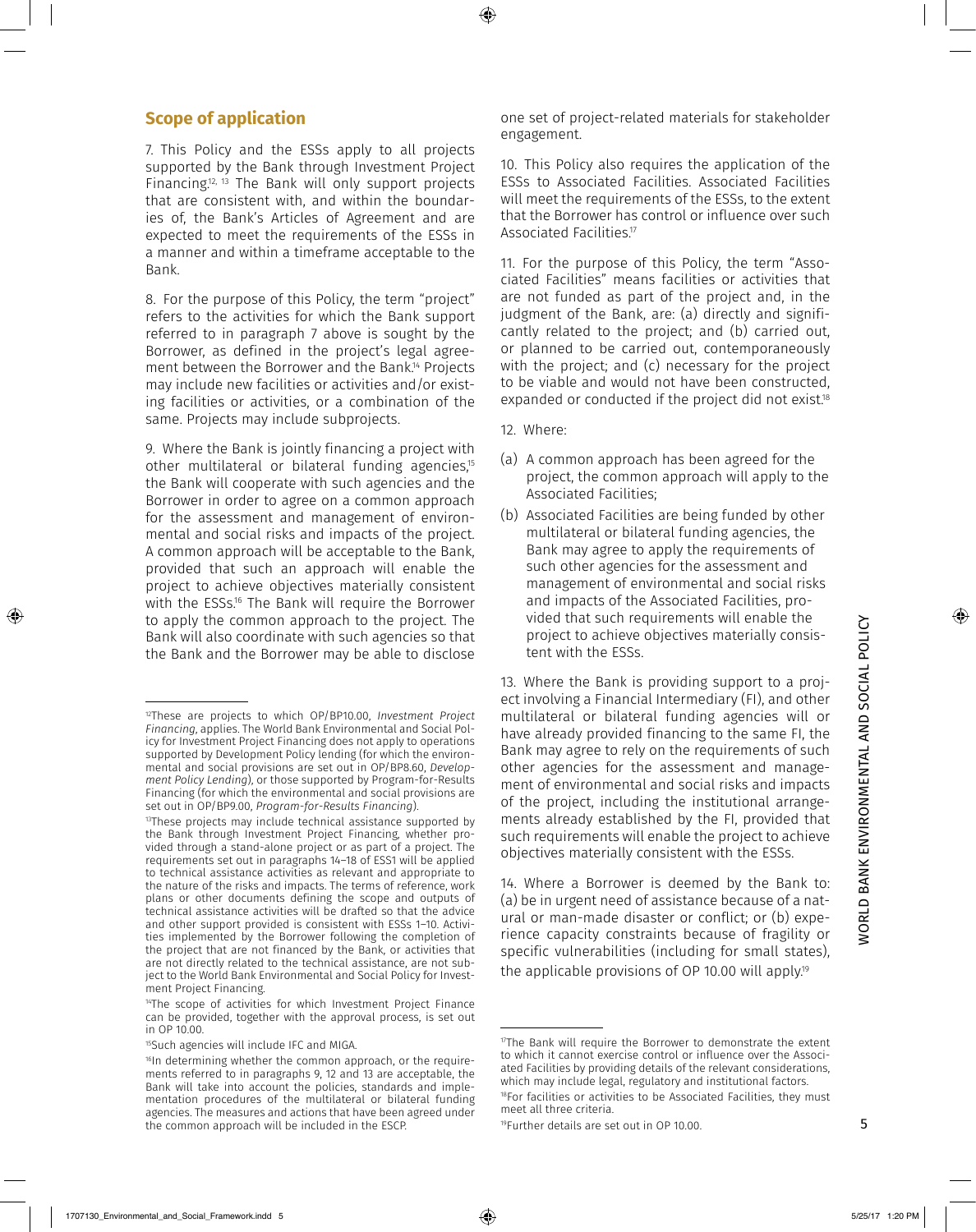# **Scope of application**

7. This Policy and the ESSs apply to all projects supported by the Bank through Investment Project Financing.<sup>12, 13</sup> The Bank will only support projects that are consistent with, and within the boundaries of, the Bank's Articles of Agreement and are expected to meet the requirements of the ESSs in a manner and within a timeframe acceptable to the Bank.

8. For the purpose of this Policy, the term "project" refers to the activities for which the Bank support referred to in paragraph 7 above is sought by the Borrower, as defined in the project's legal agreement between the Borrower and the Bank.<sup>14</sup> Projects may include new facilities or activities and/or existing facilities or activities, or a combination of the same. Projects may include subprojects.

9. Where the Bank is jointly financing a project with other multilateral or bilateral funding agencies,<sup>15</sup> the Bank will cooperate with such agencies and the Borrower in order to agree on a common approach for the assessment and management of environmental and social risks and impacts of the project. A common approach will be acceptable to the Bank, provided that such an approach will enable the project to achieve objectives materially consistent with the ESSs.<sup>16</sup> The Bank will require the Borrower to apply the common approach to the project. The Bank will also coordinate with such agencies so that the Bank and the Borrower may be able to disclose

one set of project-related materials for stakeholder engagement.

10. This Policy also requires the application of the ESSs to Associated Facilities. Associated Facilities will meet the requirements of the ESSs, to the extent that the Borrower has control or influence over such Associated Facilities.<sup>17</sup>

11. For the purpose of this Policy, the term "Associated Facilities" means facilities or activities that are not funded as part of the project and, in the judgment of the Bank, are: (a) directly and significantly related to the project; and (b) carried out, or planned to be carried out, contemporaneously with the project; and (c) necessary for the project to be viable and would not have been constructed, expanded or conducted if the project did not exist.<sup>18</sup>

- 12. Where:
- (a) A common approach has been agreed for the project, the common approach will apply to the Associated Facilities;
- (b) Associated Facilities are being funded by other multilateral or bilateral funding agencies, the Bank may agree to apply the requirements of such other agencies for the assessment and management of environmental and social risks and impacts of the Associated Facilities, provided that such requirements will enable the project to achieve objectives materially consistent with the ESSs.

13. Where the Bank is providing support to a project involving a Financial Intermediary (FI), and other multilateral or bilateral funding agencies will or have already provided financing to the same FI, the Bank may agree to rely on the requirements of such other agencies for the assessment and management of environmental and social risks and impacts of the project, including the institutional arrangements already established by the FI, provided that such requirements will enable the project to achieve objectives materially consistent with the ESSs.

14. Where a Borrower is deemed by the Bank to: (a) be in urgent need of assistance because of a natural or man-made disaster or conflict; or (b) experience capacity constraints because of fragility or specific vulnerabilities (including for small states), the applicable provisions of OP 10.00 will apply.<sup>19</sup>

<sup>12</sup>These are projects to which OP/BP10.00, *Investment Project Financing*, applies. The World Bank Environmental and Social Policy for Investment Project Financing does not apply to operations supported by Development Policy lending (for which the environmental and social provisions are set out in OP/BP8.60, *Development Policy Lending*), or those supported by Program-for-Results Financing (for which the environmental and social provisions are set out in OP/BP9.00, *Program-for-Results Financing*).

<sup>13</sup>These projects may include technical assistance supported by the Bank through Investment Project Financing, whether provided through a stand-alone project or as part of a project. The requirements set out in paragraphs 14–18 of ESS1 will be applied to technical assistance activities as relevant and appropriate to the nature of the risks and impacts. The terms of reference, work plans or other documents defining the scope and outputs of technical assistance activities will be drafted so that the advice and other support provided is consistent with ESSs 1–10. Activities implemented by the Borrower following the completion of the project that are not financed by the Bank, or activities that are not directly related to the technical assistance, are not subject to the World Bank Environmental and Social Policy for Investment Project Financing.

<sup>&</sup>lt;sup>14</sup>The scope of activities for which Investment Project Finance can be provided, together with the approval process, is set out in OP 10.00.

<sup>15</sup>Such agencies will include IFC and MIGA.

<sup>16</sup>In determining whether the common approach, or the requirements referred to in paragraphs 9, 12 and 13 are acceptable, the Bank will take into account the policies, standards and implementation procedures of the multilateral or bilateral funding agencies. The measures and actions that have been agreed under the common approach will be included in the ESCP.

<sup>&</sup>lt;sup>17</sup>The Bank will require the Borrower to demonstrate the extent to which it cannot exercise control or influence over the Associated Facilities by providing details of the relevant considerations, which may include legal, regulatory and institutional factors. 18For facilities or activities to be Associated Facilities, they must meet all three criteria.

<sup>19</sup>Further details are set out in OP 10.00.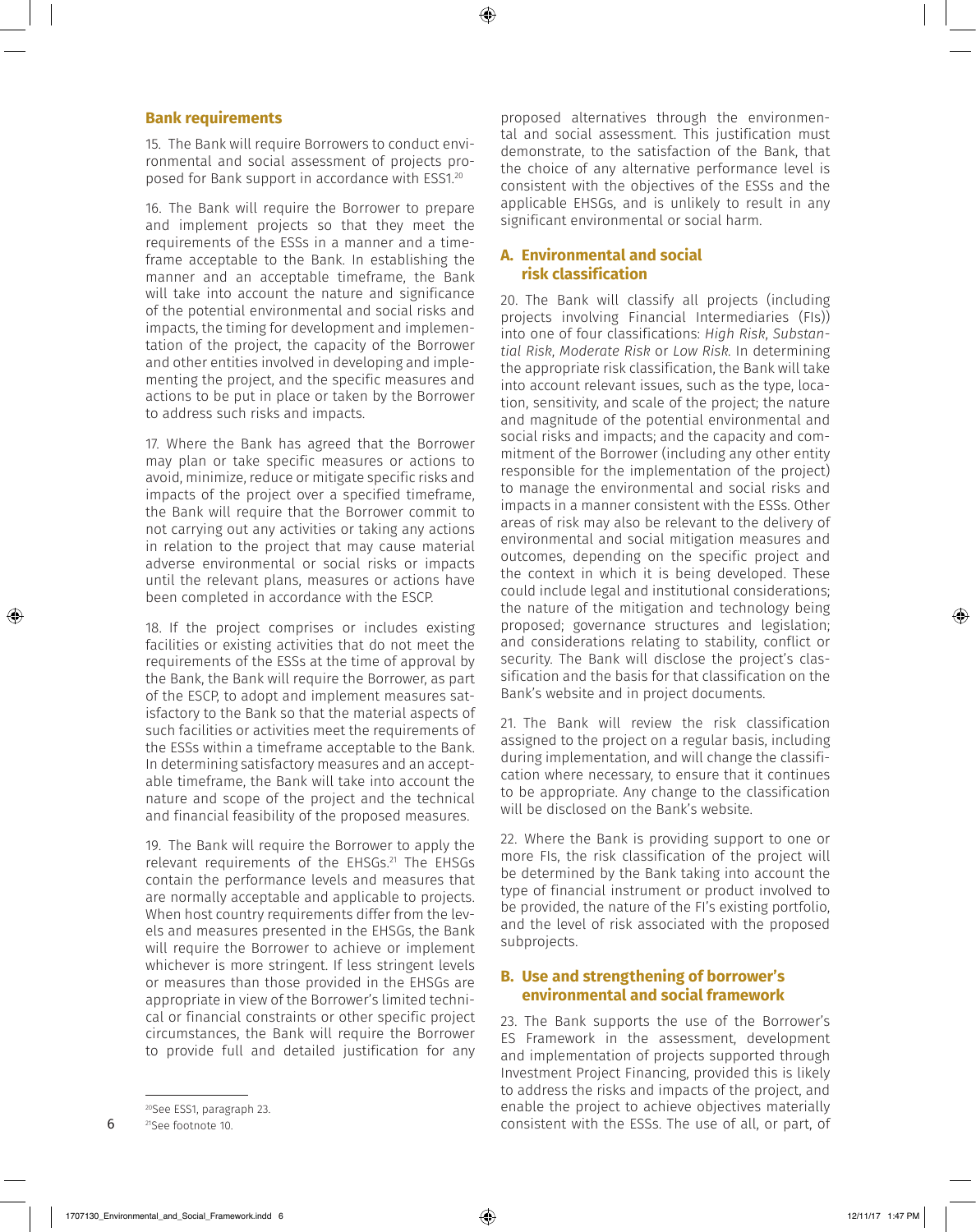#### **Bank requirements**

15. The Bank will require Borrowers to conduct environmental and social assessment of projects proposed for Bank support in accordance with ESS1.20

16. The Bank will require the Borrower to prepare and implement projects so that they meet the requirements of the ESSs in a manner and a timeframe acceptable to the Bank. In establishing the manner and an acceptable timeframe, the Bank will take into account the nature and significance of the potential environmental and social risks and impacts, the timing for development and implementation of the project, the capacity of the Borrower and other entities involved in developing and implementing the project, and the specific measures and actions to be put in place or taken by the Borrower to address such risks and impacts.

17. Where the Bank has agreed that the Borrower may plan or take specific measures or actions to avoid, minimize, reduce or mitigate specific risks and impacts of the project over a specified timeframe, the Bank will require that the Borrower commit to not carrying out any activities or taking any actions in relation to the project that may cause material adverse environmental or social risks or impacts until the relevant plans, measures or actions have been completed in accordance with the ESCP.

18. If the project comprises or includes existing facilities or existing activities that do not meet the requirements of the ESSs at the time of approval by the Bank, the Bank will require the Borrower, as part of the ESCP, to adopt and implement measures satisfactory to the Bank so that the material aspects of such facilities or activities meet the requirements of the ESSs within a timeframe acceptable to the Bank. In determining satisfactory measures and an acceptable timeframe, the Bank will take into account the nature and scope of the project and the technical and financial feasibility of the proposed measures.

19. The Bank will require the Borrower to apply the relevant requirements of the EHSGs.<sup>21</sup> The EHSGs contain the performance levels and measures that are normally acceptable and applicable to projects. When host country requirements differ from the levels and measures presented in the EHSGs, the Bank will require the Borrower to achieve or implement whichever is more stringent. If less stringent levels or measures than those provided in the EHSGs are appropriate in view of the Borrower's limited technical or financial constraints or other specific project circumstances, the Bank will require the Borrower to provide full and detailed justification for any

6

proposed alternatives through the environmental and social assessment. This justification must demonstrate, to the satisfaction of the Bank, that the choice of any alternative performance level is consistent with the objectives of the ESSs and the applicable EHSGs, and is unlikely to result in any significant environmental or social harm.

#### **A. Environmental and social risk classification**

20. The Bank will classify all projects (including projects involving Financial Intermediaries (FIs)) into one of four classifications: *High Risk*, *Substantial Risk*, *Moderate Risk* or *Low Risk.* In determining the appropriate risk classification, the Bank will take into account relevant issues, such as the type, location, sensitivity, and scale of the project; the nature and magnitude of the potential environmental and social risks and impacts; and the capacity and commitment of the Borrower (including any other entity responsible for the implementation of the project) to manage the environmental and social risks and impacts in a manner consistent with the ESSs. Other areas of risk may also be relevant to the delivery of environmental and social mitigation measures and outcomes, depending on the specific project and the context in which it is being developed. These could include legal and institutional considerations; the nature of the mitigation and technology being proposed; governance structures and legislation; and considerations relating to stability, conflict or security. The Bank will disclose the project's classification and the basis for that classification on the Bank's website and in project documents.

21. The Bank will review the risk classification assigned to the project on a regular basis, including during implementation, and will change the classification where necessary, to ensure that it continues to be appropriate. Any change to the classification will be disclosed on the Bank's website.

22. Where the Bank is providing support to one or more FIs, the risk classification of the project will be determined by the Bank taking into account the type of financial instrument or product involved to be provided, the nature of the FI's existing portfolio, and the level of risk associated with the proposed subprojects.

#### **B. Use and strengthening of borrower's environmental and social framework**

23. The Bank supports the use of the Borrower's ES Framework in the assessment, development and implementation of projects supported through Investment Project Financing, provided this is likely to address the risks and impacts of the project, and enable the project to achieve objectives materially consistent with the ESSs. The use of all, or part, of

<sup>20</sup>See ESS1, paragraph 23.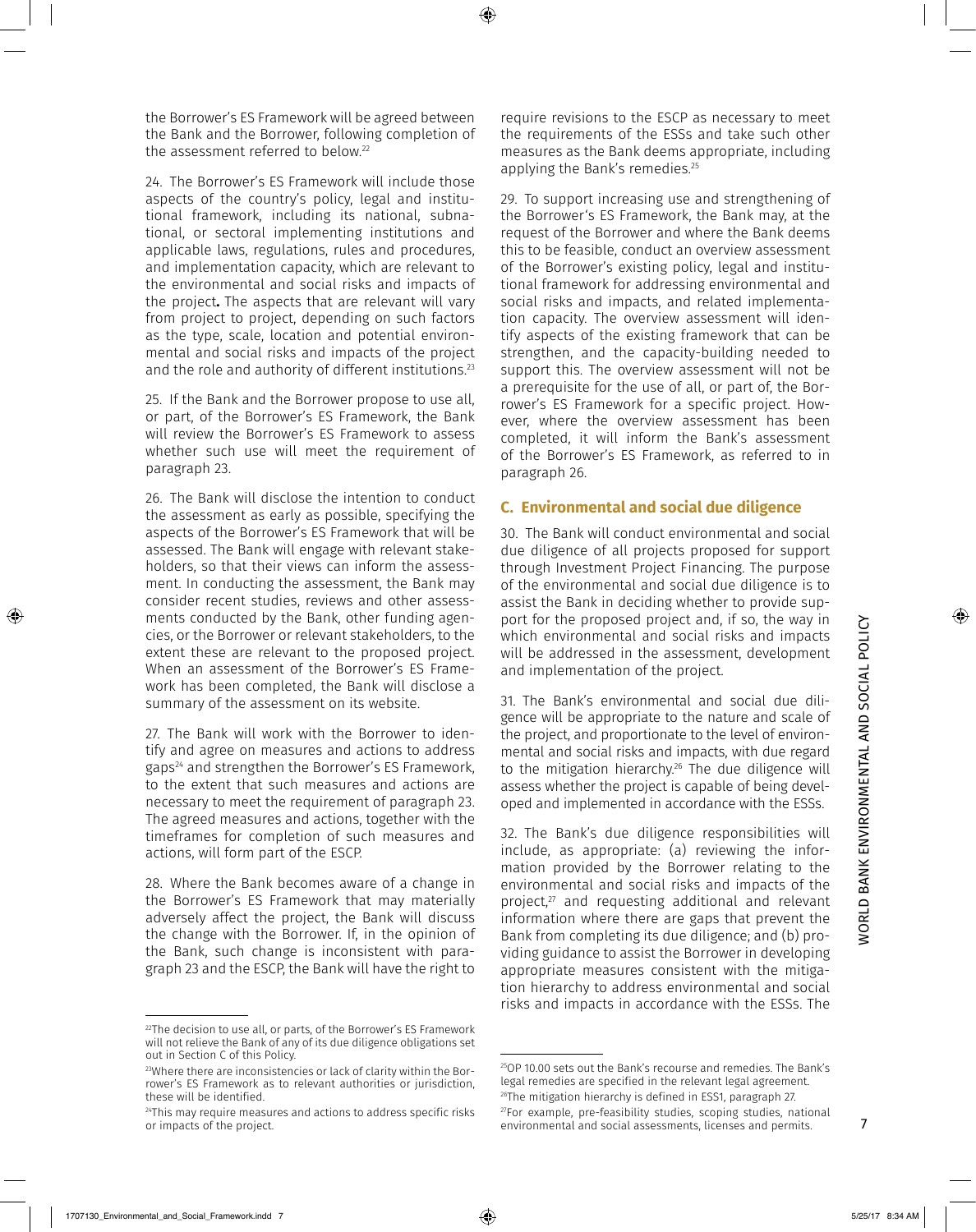the Borrower's ES Framework will be agreed between the Bank and the Borrower, following completion of the assessment referred to below. 22

24. The Borrower's ES Framework will include those aspects of the country's policy, legal and institutional framework, including its national, subnational, or sectoral implementing institutions and applicable laws, regulations, rules and procedures, and implementation capacity, which are relevant to the environmental and social risks and impacts of the project**.** The aspects that are relevant will vary from project to project, depending on such factors as the type, scale, location and potential environmental and social risks and impacts of the project and the role and authority of different institutions. 23

25. If the Bank and the Borrower propose to use all, or part, of the Borrower's ES Framework, the Bank will review the Borrower's ES Framework to assess whether such use will meet the requirement of paragraph 23.

26. The Bank will disclose the intention to conduct the assessment as early as possible, specifying the aspects of the Borrower's ES Framework that will be assessed. The Bank will engage with relevant stakeholders, so that their views can inform the assessment. In conducting the assessment, the Bank may consider recent studies, reviews and other assessments conducted by the Bank, other funding agencies, or the Borrower or relevant stakeholders, to the extent these are relevant to the proposed project. When an assessment of the Borrower's ES Framework has been completed, the Bank will disclose a summary of the assessment on its website.

27. The Bank will work with the Borrower to identify and agree on measures and actions to address gaps24 and strengthen the Borrower's ES Framework, to the extent that such measures and actions are necessary to meet the requirement of paragraph 23. The agreed measures and actions, together with the timeframes for completion of such measures and actions, will form part of the ESCP.

28. Where the Bank becomes aware of a change in the Borrower's ES Framework that may materially adversely affect the project, the Bank will discuss the change with the Borrower. If, in the opinion of the Bank, such change is inconsistent with paragraph 23 and the ESCP, the Bank will have the right to require revisions to the ESCP as necessary to meet the requirements of the ESSs and take such other measures as the Bank deems appropriate, including applying the Bank's remedies. 25

29. To support increasing use and strengthening of the Borrower's ES Framework, the Bank may, at the request of the Borrower and where the Bank deems this to be feasible, conduct an overview assessment of the Borrower's existing policy, legal and institutional framework for addressing environmental and social risks and impacts, and related implementation capacity. The overview assessment will identify aspects of the existing framework that can be strengthen, and the capacity-building needed to support this. The overview assessment will not be a prerequisite for the use of all, or part of, the Borrower's ES Framework for a specific project. However, where the overview assessment has been completed, it will inform the Bank's assessment of the Borrower's ES Framework, as referred to in paragraph 26.

#### **C. Environmental and social due diligence**

30. The Bank will conduct environmental and social due diligence of all projects proposed for support through Investment Project Financing. The purpose of the environmental and social due diligence is to assist the Bank in deciding whether to provide support for the proposed project and, if so, the way in which environmental and social risks and impacts will be addressed in the assessment, development and implementation of the project.

31. The Bank's environmental and social due diligence will be appropriate to the nature and scale of the project, and proportionate to the level of environmental and social risks and impacts, with due regard to the mitigation hierarchy. 26 The due diligence will assess whether the project is capable of being developed and implemented in accordance with the ESSs.

32. The Bank's due diligence responsibilities will include, as appropriate: (a) reviewing the information provided by the Borrower relating to the environmental and social risks and impacts of the project,<sup>27</sup> and requesting additional and relevant information where there are gaps that prevent the Bank from completing its due diligence; and (b) providing guidance to assist the Borrower in developing appropriate measures consistent with the mitigation hierarchy to address environmental and social risks and impacts in accordance with the ESSs. The

 $22$ The decision to use all, or parts, of the Borrower's ES Framework will not relieve the Bank of any of its due diligence obligations set out in Section C of this Policy.

<sup>23</sup>Where there are inconsistencies or lack of clarity within the Borrower's ES Framework as to relevant authorities or jurisdiction, these will be identified.

<sup>&</sup>lt;sup>24</sup>This may require measures and actions to address specific risks or impacts of the project.

<sup>25</sup>OP 10.00 sets out the Bank's recourse and remedies. The Bank's legal remedies are specified in the relevant legal agreement. 26The mitigation hierarchy is defined in ESS1, paragraph 27.

 $27$ For example, pre-feasibility studies, scoping studies, national environmental and social assessments, licenses and permits.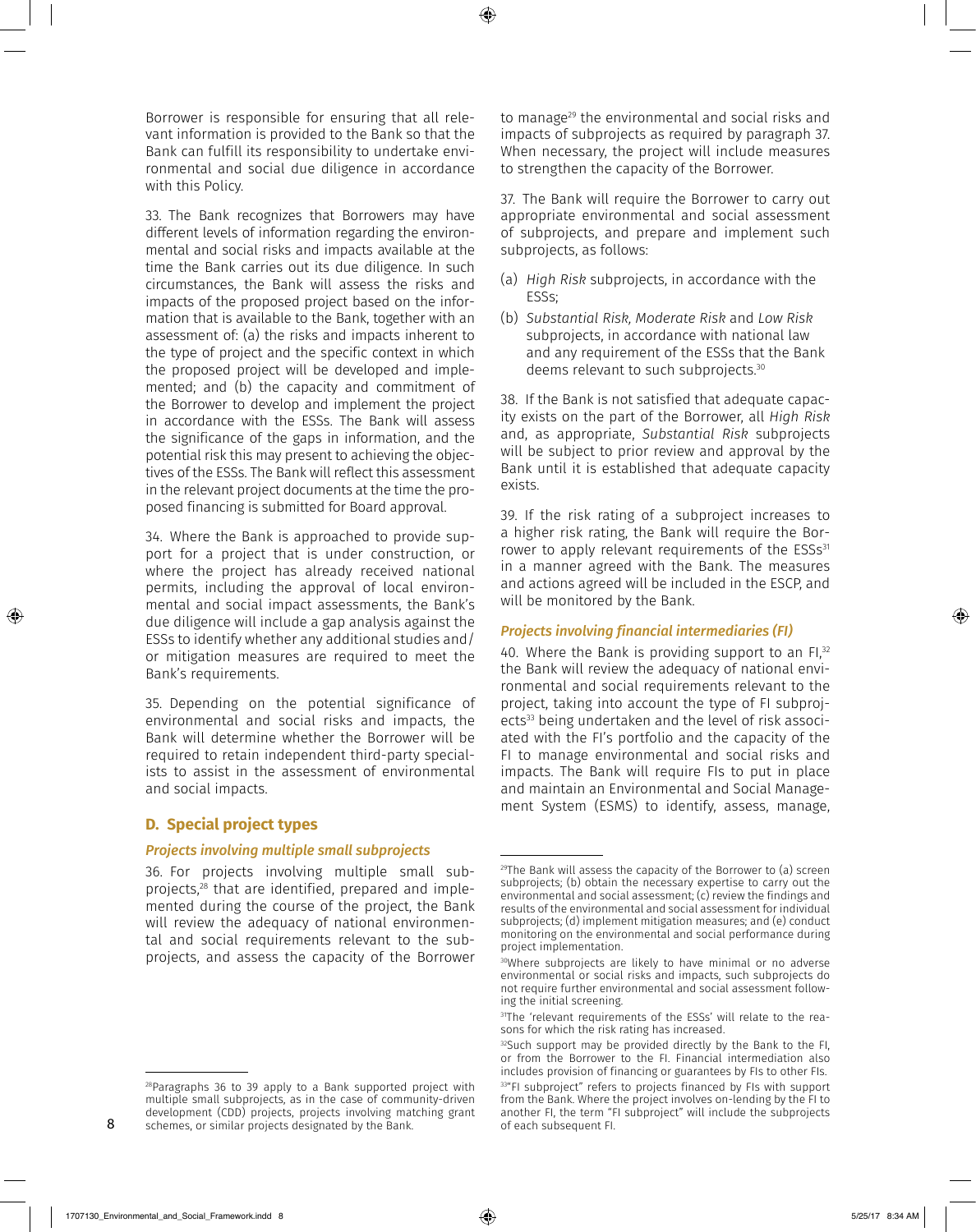Borrower is responsible for ensuring that all relevant information is provided to the Bank so that the Bank can fulfill its responsibility to undertake environmental and social due diligence in accordance with this Policy.

33. The Bank recognizes that Borrowers may have different levels of information regarding the environmental and social risks and impacts available at the time the Bank carries out its due diligence. In such circumstances, the Bank will assess the risks and impacts of the proposed project based on the information that is available to the Bank, together with an assessment of: (a) the risks and impacts inherent to the type of project and the specific context in which the proposed project will be developed and implemented; and (b) the capacity and commitment of the Borrower to develop and implement the project in accordance with the ESSs. The Bank will assess the significance of the gaps in information, and the potential risk this may present to achieving the objectives of the ESSs. The Bank will reflect this assessment in the relevant project documents at the time the proposed financing is submitted for Board approval.

34. Where the Bank is approached to provide support for a project that is under construction, or where the project has already received national permits, including the approval of local environmental and social impact assessments, the Bank's due diligence will include a gap analysis against the ESSs to identify whether any additional studies and/ or mitigation measures are required to meet the Bank's requirements.

35. Depending on the potential significance of environmental and social risks and impacts, the Bank will determine whether the Borrower will be required to retain independent third-party specialists to assist in the assessment of environmental and social impacts.

# **D. Special project types**

#### *Projects involving multiple small subprojects*

36. For projects involving multiple small subprojects,28 that are identified, prepared and implemented during the course of the project, the Bank will review the adequacy of national environmental and social requirements relevant to the subprojects, and assess the capacity of the Borrower

<sup>28</sup>Paragraphs 36 to 39 apply to a Bank supported project with multiple small subprojects, as in the case of community-driven development (CDD) projects, projects involving matching grant schemes, or similar projects designated by the Bank.

to manage<sup>29</sup> the environmental and social risks and impacts of subprojects as required by paragraph 37. When necessary, the project will include measures to strengthen the capacity of the Borrower.

37. The Bank will require the Borrower to carry out appropriate environmental and social assessment of subprojects, and prepare and implement such subprojects, as follows:

- (a) *High Risk* subprojects, in accordance with the ESSs;
- (b) *Substantial Risk, Moderate Risk* and *Low Risk* subprojects, in accordance with national law and any requirement of the ESSs that the Bank deems relevant to such subprojects. 30

38. If the Bank is not satisfied that adequate capacity exists on the part of the Borrower, all *High Risk* and, as appropriate, *Substantial Risk* subprojects will be subject to prior review and approval by the Bank until it is established that adequate capacity exists.

39. If the risk rating of a subproject increases to a higher risk rating, the Bank will require the Borrower to apply relevant requirements of the ESSs<sup>31</sup> in a manner agreed with the Bank. The measures and actions agreed will be included in the ESCP, and will be monitored by the Bank.

# *Projects involving financial intermediaries (FI)*

40. Where the Bank is providing support to an FI.<sup>32</sup> the Bank will review the adequacy of national environmental and social requirements relevant to the project, taking into account the type of FI subprojects<sup>33</sup> being undertaken and the level of risk associated with the FI's portfolio and the capacity of the FI to manage environmental and social risks and impacts. The Bank will require FIs to put in place and maintain an Environmental and Social Management System (ESMS) to identify, assess, manage,

<sup>29</sup>The Bank will assess the capacity of the Borrower to (a) screen subprojects; (b) obtain the necessary expertise to carry out the environmental and social assessment; (c) review the findings and results of the environmental and social assessment for individual subprojects; (d) implement mitigation measures; and (e) conduct monitoring on the environmental and social performance during project implementation.

<sup>30</sup>Where subprojects are likely to have minimal or no adverse environmental or social risks and impacts, such subprojects do not require further environmental and social assessment following the initial screening.

<sup>31</sup>The 'relevant requirements of the ESSs' will relate to the reasons for which the risk rating has increased.

 $32$ Such support may be provided directly by the Bank to the FI, or from the Borrower to the FI. Financial intermediation also includes provision of financing or guarantees by FIs to other FIs.

<sup>33&</sup>quot;FI subproject" refers to projects financed by FIs with support from the Bank. Where the project involves on-lending by the FI to another FI, the term "FI subproject" will include the subprojects of each subsequent FI.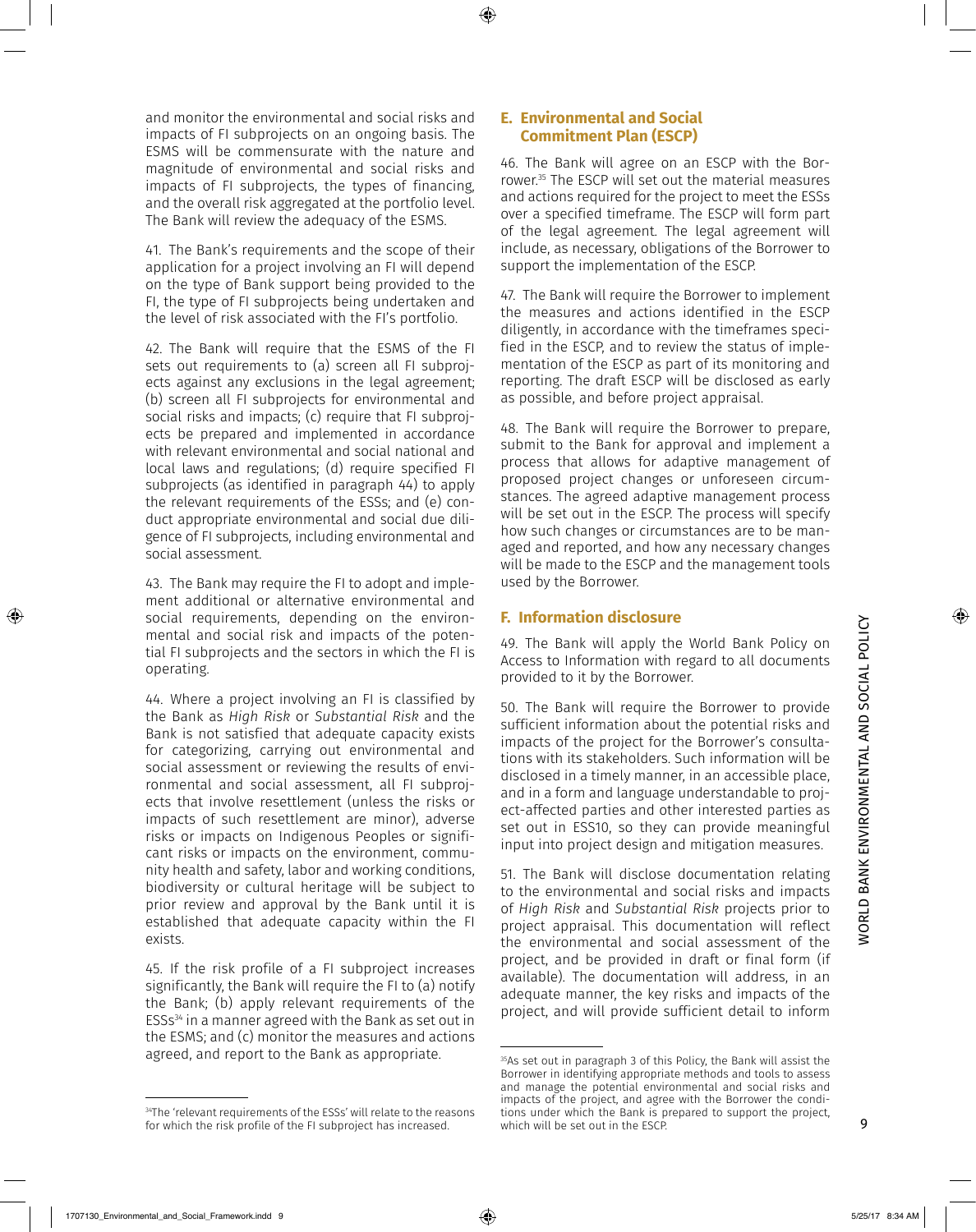rower. 35 The ESCP will set out the material measures and actions required for the project to meet the ESSs over a specified timeframe. The ESCP will form part of the legal agreement. The legal agreement will include, as necessary, obligations of the Borrower to support the implementation of the ESCP. 47. The Bank will require the Borrower to implement the measures and actions identified in the ESCP diligently, in accordance with the timeframes specified in the ESCP, and to review the status of implementation of the ESCP as part of its monitoring and reporting. The draft ESCP will be disclosed as early as possible, and before project appraisal.

**E. Environmental and Social Commitment Plan (ESCP)** 

48. The Bank will require the Borrower to prepare, submit to the Bank for approval and implement a process that allows for adaptive management of proposed project changes or unforeseen circumstances. The agreed adaptive management process will be set out in the ESCP. The process will specify how such changes or circumstances are to be managed and reported, and how any necessary changes will be made to the ESCP and the management tools used by the Borrower.

46. The Bank will agree on an ESCP with the Bor-

#### **F. Information disclosure**

49. The Bank will apply the World Bank Policy on Access to Information with regard to all documents provided to it by the Borrower.

50. The Bank will require the Borrower to provide sufficient information about the potential risks and impacts of the project for the Borrower's consultations with its stakeholders. Such information will be disclosed in a timely manner, in an accessible place, and in a form and language understandable to project-affected parties and other interested parties as set out in ESS10, so they can provide meaningful input into project design and mitigation measures.

51. The Bank will disclose documentation relating to the environmental and social risks and impacts of *High Risk* and *Substantial Risk* projects prior to project appraisal. This documentation will reflect the environmental and social assessment of the project, and be provided in draft or final form (if available). The documentation will address, in an adequate manner, the key risks and impacts of the project, and will provide sufficient detail to inform

and monitor the environmental and social risks and impacts of FI subprojects on an ongoing basis. The ESMS will be commensurate with the nature and magnitude of environmental and social risks and impacts of FI subprojects, the types of financing, and the overall risk aggregated at the portfolio level. The Bank will review the adequacy of the ESMS.

41. The Bank's requirements and the scope of their application for a project involving an FI will depend on the type of Bank support being provided to the FI, the type of FI subprojects being undertaken and the level of risk associated with the FI's portfolio.

42. The Bank will require that the ESMS of the FI sets out requirements to (a) screen all FI subprojects against any exclusions in the legal agreement; (b) screen all FI subprojects for environmental and social risks and impacts; (c) require that FI subprojects be prepared and implemented in accordance with relevant environmental and social national and local laws and regulations; (d) require specified FI subprojects (as identified in paragraph 44) to apply the relevant requirements of the ESSs; and (e) conduct appropriate environmental and social due diligence of FI subprojects, including environmental and social assessment.

43. The Bank may require the FI to adopt and implement additional or alternative environmental and social requirements, depending on the environmental and social risk and impacts of the potential FI subprojects and the sectors in which the FI is operating.

44. Where a project involving an FI is classified by the Bank as *High Risk* or *Substantial Risk* and the Bank is not satisfied that adequate capacity exists for categorizing, carrying out environmental and social assessment or reviewing the results of environmental and social assessment, all FI subprojects that involve resettlement (unless the risks or impacts of such resettlement are minor), adverse risks or impacts on Indigenous Peoples or significant risks or impacts on the environment, community health and safety, labor and working conditions, biodiversity or cultural heritage will be subject to prior review and approval by the Bank until it is established that adequate capacity within the FI exists.

45. If the risk profile of a FI subproject increases significantly, the Bank will require the FI to (a) notify the Bank; (b) apply relevant requirements of the ESSs34 in a manner agreed with the Bank as set out in the ESMS; and (c) monitor the measures and actions agreed, and report to the Bank as appropriate.

<sup>35</sup>As set out in paragraph 3 of this Policy, the Bank will assist the Borrower in identifying appropriate methods and tools to assess and manage the potential environmental and social risks and impacts of the project, and agree with the Borrower the conditions under which the Bank is prepared to support the project, which will be set out in the ESCP.

<sup>&</sup>lt;sup>34</sup>The 'relevant requirements of the ESSs' will relate to the reasons for which the risk profile of the FI subproject has increased.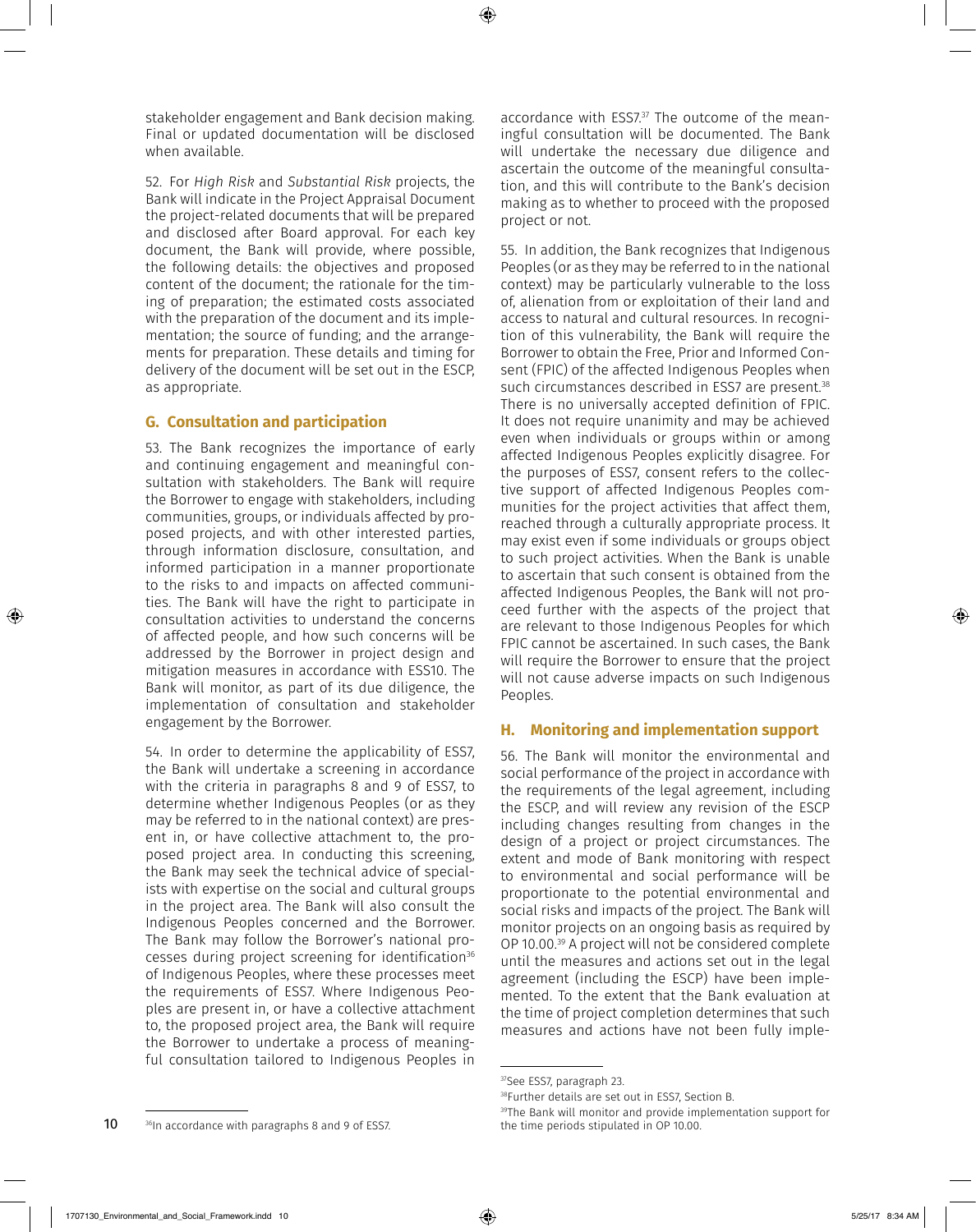stakeholder engagement and Bank decision making. Final or updated documentation will be disclosed when available.

52. For *High Risk* and *Substantial Risk* projects, the Bank will indicate in the Project Appraisal Document the project-related documents that will be prepared and disclosed after Board approval. For each key document, the Bank will provide, where possible, the following details: the objectives and proposed content of the document; the rationale for the timing of preparation; the estimated costs associated with the preparation of the document and its implementation; the source of funding; and the arrangements for preparation. These details and timing for delivery of the document will be set out in the ESCP, as appropriate.

# **G. Consultation and participation**

53. The Bank recognizes the importance of early and continuing engagement and meaningful consultation with stakeholders. The Bank will require the Borrower to engage with stakeholders, including communities, groups, or individuals affected by proposed projects, and with other interested parties, through information disclosure, consultation, and informed participation in a manner proportionate to the risks to and impacts on affected communities. The Bank will have the right to participate in consultation activities to understand the concerns of affected people, and how such concerns will be addressed by the Borrower in project design and mitigation measures in accordance with ESS10. The Bank will monitor, as part of its due diligence, the implementation of consultation and stakeholder engagement by the Borrower.

54. In order to determine the applicability of ESS7, the Bank will undertake a screening in accordance with the criteria in paragraphs 8 and 9 of ESS7, to determine whether Indigenous Peoples (or as they may be referred to in the national context) are present in, or have collective attachment to, the proposed project area. In conducting this screening, the Bank may seek the technical advice of specialists with expertise on the social and cultural groups in the project area. The Bank will also consult the Indigenous Peoples concerned and the Borrower. The Bank may follow the Borrower's national processes during project screening for identification<sup>36</sup> of Indigenous Peoples, where these processes meet the requirements of ESS7. Where Indigenous Peoples are present in, or have a collective attachment to, the proposed project area, the Bank will require the Borrower to undertake a process of meaningful consultation tailored to Indigenous Peoples in

accordance with ESS7. 37 The outcome of the meaningful consultation will be documented. The Bank will undertake the necessary due diligence and ascertain the outcome of the meaningful consultation, and this will contribute to the Bank's decision making as to whether to proceed with the proposed project or not.

55. In addition, the Bank recognizes that Indigenous Peoples (or as they may be referred to in the national context) may be particularly vulnerable to the loss of, alienation from or exploitation of their land and access to natural and cultural resources. In recognition of this vulnerability, the Bank will require the Borrower to obtain the Free, Prior and Informed Consent (FPIC) of the affected Indigenous Peoples when such circumstances described in ESS7 are present. 38 There is no universally accepted definition of FPIC. It does not require unanimity and may be achieved even when individuals or groups within or among affected Indigenous Peoples explicitly disagree. For the purposes of ESS7, consent refers to the collective support of affected Indigenous Peoples communities for the project activities that affect them, reached through a culturally appropriate process. It may exist even if some individuals or groups object to such project activities. When the Bank is unable to ascertain that such consent is obtained from the affected Indigenous Peoples, the Bank will not proceed further with the aspects of the project that are relevant to those Indigenous Peoples for which FPIC cannot be ascertained. In such cases, the Bank will require the Borrower to ensure that the project will not cause adverse impacts on such Indigenous Peoples.

# **H. Monitoring and implementation support**

56. The Bank will monitor the environmental and social performance of the project in accordance with the requirements of the legal agreement, including the ESCP, and will review any revision of the ESCP including changes resulting from changes in the design of a project or project circumstances. The extent and mode of Bank monitoring with respect to environmental and social performance will be proportionate to the potential environmental and social risks and impacts of the project. The Bank will monitor projects on an ongoing basis as required by OP 10.00. 39 A project will not be considered complete until the measures and actions set out in the legal agreement (including the ESCP) have been implemented. To the extent that the Bank evaluation at the time of project completion determines that such measures and actions have not been fully imple-

<sup>37</sup>See ESS7, paragraph 23.

<sup>38</sup>Further details are set out in ESS7, Section B.

<sup>&</sup>lt;sup>39</sup>The Bank will monitor and provide implementation support for the time periods stipulated in OP 10.00.